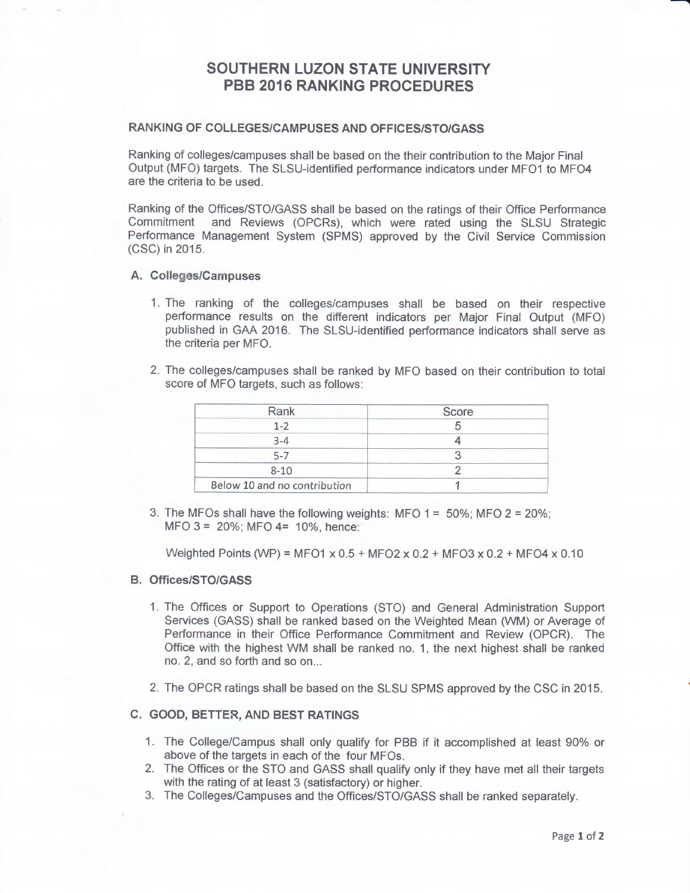# SOUTHERN LUZON STATE UNIVERSITY PBB 2016 RANKING PROCEDURES

## RANKING OF COLLEGES/CAMPUSES AND OFFICES/STO/GASS

Ranking of collegeslcampuses shall be based on the their contribution to the Major Final Output (MFO) targets. The SlSU-identified performance indicators under MFOl to MFO4 are the criteria to be used.

Ranking of the Offices/STO/GASS shall be based on the ratings of their Office Performance Commitment and Reviews (OPCRs), which were rated using the SLSU Strategic Performance Management System (SPMS) approved by the Civit Service Commission (CSC) in 2015.

### A. Colleges/Campuses

- 1. The ranking of the colleges/campuses shall be based on their respective performance results on the different indicators per Major Final Output (MFO) published in GAA 2016. The SLSU-identified performance indicators shall serve as the criteria per MFO.
- 2. The colleges/campuses shall be ranked by MFO based on their contribution to total score of MFO targets, such as follows:

| Rank                         | Score |  |
|------------------------------|-------|--|
|                              |       |  |
|                              |       |  |
|                              |       |  |
| 8-10                         |       |  |
| Below 10 and no contribution |       |  |

3. The MFOs shall have the following weights: MFO  $1 = 50\%$ ; MFO  $2 = 20\%$ ;  $MFO$  3 = 20%; MFO 4= 10%, hence:

Weighted Points (WP) = MFO1  $\times$  0.5 + MFO2  $\times$  0.2 + MFO3  $\times$  0.2 + MFO4  $\times$  0.10

### B. Offices/STO/GASS

- 1. The Offices or Support to Operations (STO) and General Administration Support Services (GASS) shall be ranked based on the Weighted Mean (WM) or Average of Performance in their Office Performance Commitment and Review (OPCR). The Office with the highest WM shall be ranked no. 1, the next highest shall be ranked no. 2, and so forth and so on...
- 2. The OPCR ratings shall be based on the SLSU SPMS approved by the CSC in 2015.

#### C. GOOD, BETTER, AND BEST RATINGS

- 1. The College/Campus shall only qualify for PBB if it accomplished at least 90% or above of the targets in each of the four MFOs.
- 2. The Offices or the STO and GASS shall qualify only if they have met all their targets with the rating of at least 3 (satisfactory) or higher.
- 3. The Colleges/Campuses and the Offices/STO/GASS shall be ranked separately.